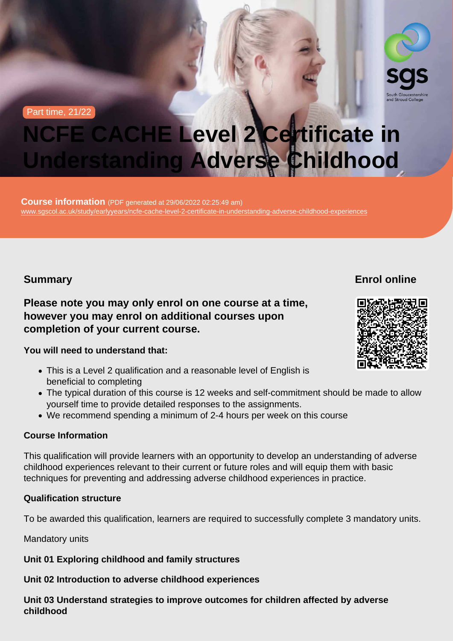Part time, 21/22

# NCFE CACHE Level 2 Certificate in Understanding Adverse Childhood

Course information (PDF generated at 29/06/2022 02:25:49 am) [www.sgscol.ac.uk/study/earlyyears/ncfe-cache-level-2-certificate-in-understanding-adverse-childhood-experiences](https://www.sgscol.ac.uk/study/earlyyears/ncfe-cache-level-2-certificate-in-understanding-adverse-childhood-experiences)

## **Summary**

Enrol online

Please note you may only enrol on one course at a time, however you may enrol on additional courses upon completion of your current course.

You will need to understand that:

- This is a Level 2 qualification and a reasonable level of English is beneficial to completing
- The typical duration of this course is 12 weeks and self-commitment should be made to allow yourself time to provide detailed responses to the assignments.
- We recommend spending a minimum of 2-4 hours per week on this course

#### Course Information

This qualification will provide learners with an opportunity to develop an understanding of adverse childhood experiences relevant to their current or future roles and will equip them with basic techniques for preventing and addressing adverse childhood experiences in practice.

#### Qualification structure

To be awarded this qualification, learners are required to successfully complete 3 mandatory units.

#### Mandatory units

Unit 01 Exploring childhood and family structures

Unit 02 Introduction to adverse childhood experiences

Unit 03 Understand strategies to improve outcomes for children affected by adverse childhood